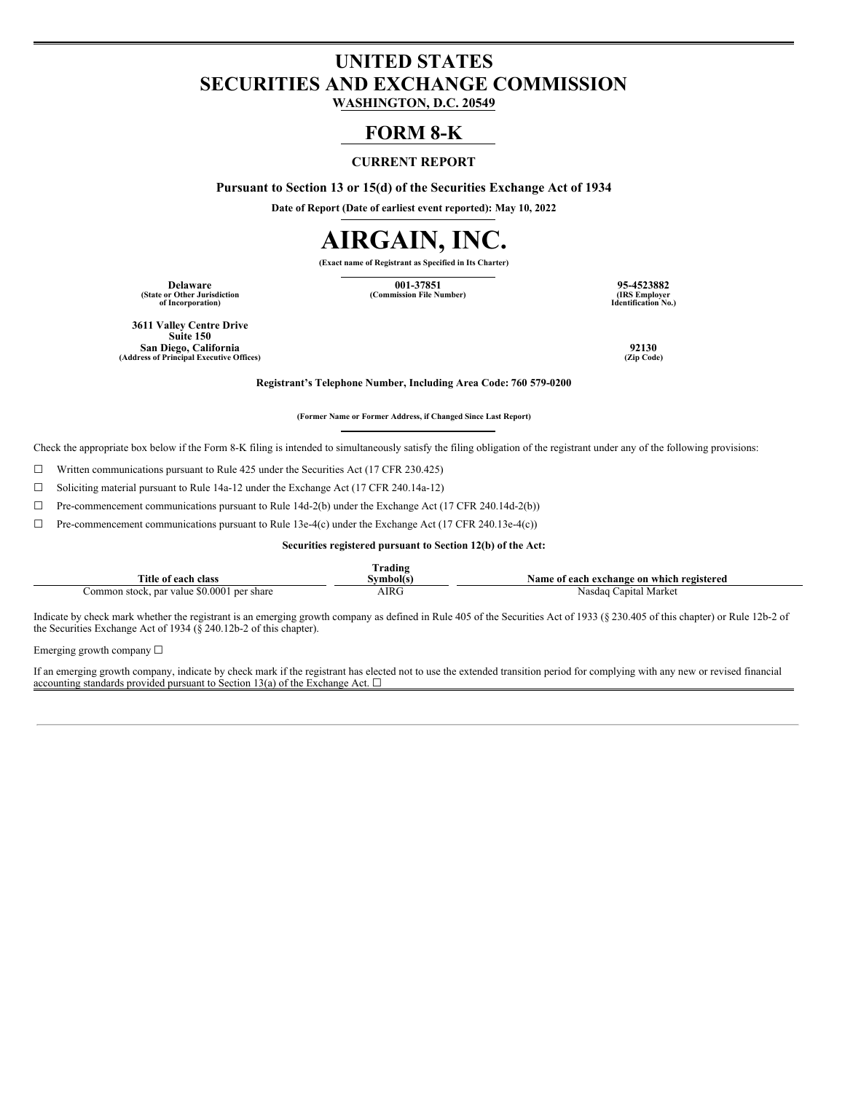# **UNITED STATES SECURITIES AND EXCHANGE COMMISSION**

**WASHINGTON, D.C. 20549**

## **FORM 8-K**

#### **CURRENT REPORT**

**Pursuant to Section 13 or 15(d) of the Securities Exchange Act of 1934**

**Date of Report (Date of earliest event reported): May 10, 2022**

# **AIRGAIN, INC.**

**(Exact name of Registrant as Specified in Its Charter)**

**(State or Other Jurisdiction of Incorporation)**

**Delaware 001-37851 95-4523882**  $(Commission File Number)$ 

**Identification No.)**

**3611 Valley Centre Drive Suite 150 San Diego, California 92130 (Address of Principal Executive Offices) (Zip Code)**

**Registrant's Telephone Number, Including Area Code: 760 579-0200**

**(Former Name or Former Address, if Changed Since Last Report)**

Check the appropriate box below if the Form 8-K filing is intended to simultaneously satisfy the filing obligation of the registrant under any of the following provisions:

☐ Written communications pursuant to Rule 425 under the Securities Act (17 CFR 230.425)

 $\Box$  Soliciting material pursuant to Rule 14a-12 under the Exchange Act (17 CFR 240.14a-12)

 $\Box$  Pre-commencement communications pursuant to Rule 14d-2(b) under the Exchange Act (17 CFR 240.14d-2(b))

☐ Pre-commencement communications pursuant to Rule 13e-4(c) under the Exchange Act (17 CFR 240.13e-4(c))

**Securities registered pursuant to Section 12(b) of the Act:**

|                                            | 'rading   |                                           |
|--------------------------------------------|-----------|-------------------------------------------|
| Title of each class                        | Svmbol(s) | Name of each exchange on which registered |
| Common stock, par value \$0.0001 per share | AIRG      | Nasdaq Capital Market                     |

Indicate by check mark whether the registrant is an emerging growth company as defined in Rule 405 of the Securities Act of 1933 (§ 230.405 of this chapter) or Rule 12b-2 of the Securities Exchange Act of 1934 (§ 240.12b-2 of this chapter).

Emerging growth company ☐

If an emerging growth company, indicate by check mark if the registrant has elected not to use the extended transition period for complying with any new or revised financial accounting standards provided pursuant to Section 13(a) of the Exchange Act.  $\Box$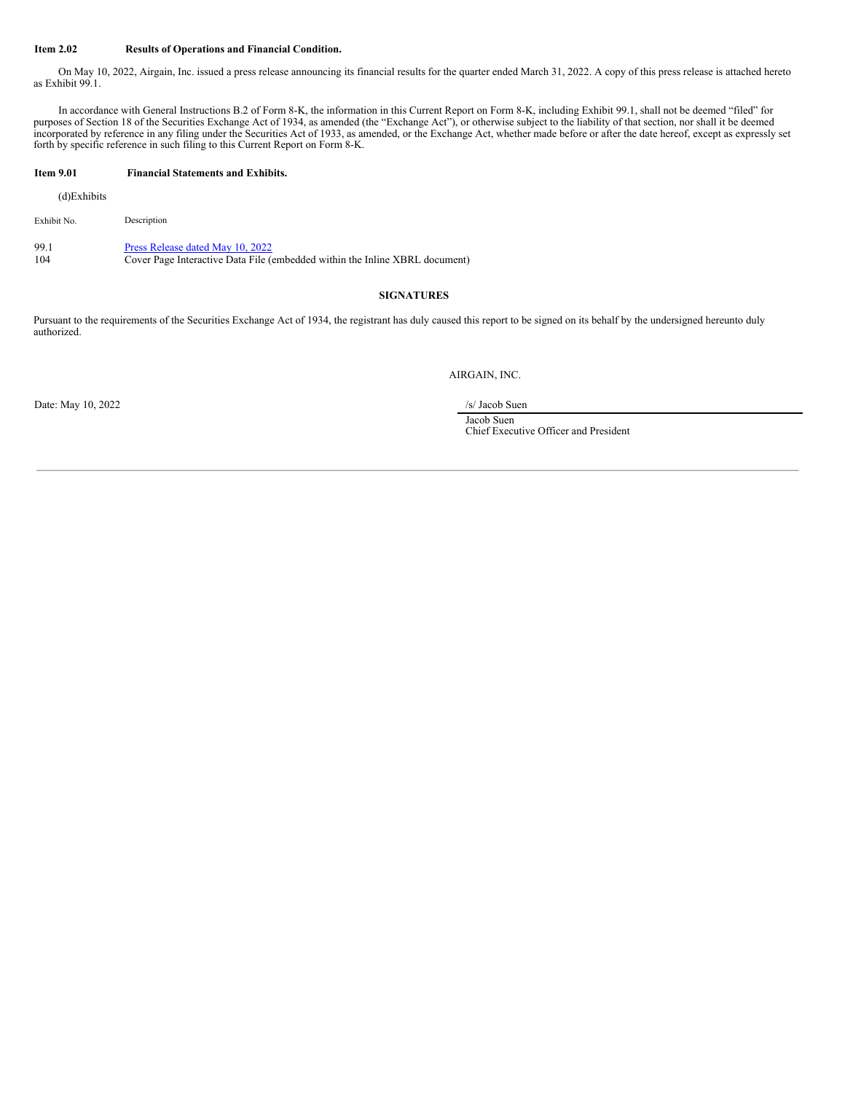#### **Item 2.02 Results of Operations and Financial Condition.**

On May 10, 2022, Airgain, Inc. issued a press release announcing its financial results for the quarter ended March 31, 2022. A copy of this press release is attached hereto as Exhibit 99.1.

In accordance with General Instructions B.2 of Form 8-K, the information in this Current Report on Form 8-K, including Exhibit 99.1, shall not be deemed "filed" for purposes of Section 18 of the Securities Exchange Act of 1934, as amended (the "Exchange Act"), or otherwise subject to the liability of that section, nor shall it be deemed incorporated by reference in any filing under the Securities Act of 1933, as amended, or the Exchange Act, whether made before or after the date hereof, except as expressly set forth by specific reference in such filing to this Current Report on Form 8-K.

#### **Item 9.01 Financial Statements and Exhibits.**

(d)Exhibits

Exhibit No. Description

99.1 Press [Release](#page-9-0) dated May 10, 2022 104 Cover Page Interactive Data File (embedded within the Inline XBRL document)

#### **SIGNATURES**

Pursuant to the requirements of the Securities Exchange Act of 1934, the registrant has duly caused this report to be signed on its behalf by the undersigned hereunto duly authorized.

AIRGAIN, INC.

Date: May 10, 2022 /s/ Jacob Suen

Jacob Suen Chief Executive Officer and President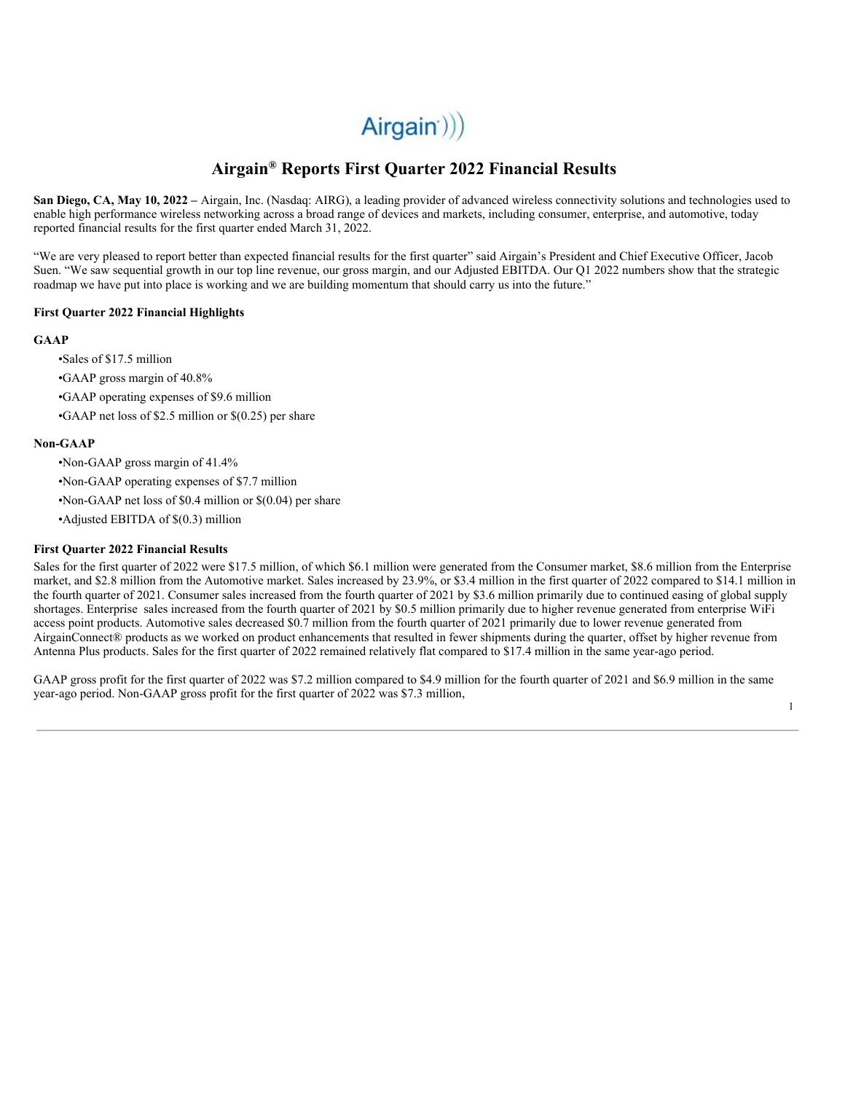# $Airgain$ ))

## **Airgain ® Reports First Quarter 2022 Financial Results**

**San Diego, CA, May 10, 2022 –** Airgain, Inc. (Nasdaq: AIRG), a leading provider of advanced wireless connectivity solutions and technologies used to enable high performance wireless networking across a broad range of devices and markets, including consumer, enterprise, and automotive, today reported financial results for the first quarter ended March 31, 2022.

"We are very pleased to report better than expected financial results for the first quarter" said Airgain's President and Chief Executive Officer, Jacob Suen. "We saw sequential growth in our top line revenue, our gross margin, and our Adjusted EBITDA. Our Q1 2022 numbers show that the strategic roadmap we have put into place is working and we are building momentum that should carry us into the future."

#### **First Quarter 2022 Financial Highlights**

#### **GAAP**

- •Sales of \$17.5 million
- •GAAP gross margin of 40.8%
- •GAAP operating expenses of \$9.6 million
- •GAAP net loss of \$2.5 million or \$(0.25) per share

#### **Non-GAAP**

- •Non-GAAP gross margin of 41.4%
- •Non-GAAP operating expenses of \$7.7 million
- •Non-GAAP net loss of \$0.4 million or \$(0.04) per share
- •Adjusted EBITDA of \$(0.3) million

#### **First Quarter 2022 Financial Results**

Sales for the first quarter of 2022 were \$17.5 million, of which \$6.1 million were generated from the Consumer market, \$8.6 million from the Enterprise market, and \$2.8 million from the Automotive market. Sales increased by 23.9%, or \$3.4 million in the first quarter of 2022 compared to \$14.1 million in the fourth quarter of 2021. Consumer sales increased from the fourth quarter of 2021 by \$3.6 million primarily due to continued easing of global supply shortages. Enterprise sales increased from the fourth quarter of 2021 by \$0.5 million primarily due to higher revenue generated from enterprise WiFi access point products. Automotive sales decreased \$0.7 million from the fourth quarter of 2021 primarily due to lower revenue generated from AirgainConnect® products as we worked on product enhancements that resulted in fewer shipments during the quarter, offset by higher revenue from Antenna Plus products. Sales for the first quarter of 2022 remained relatively flat compared to \$17.4 million in the same year-ago period.

GAAP gross profit for the first quarter of 2022 was \$7.2 million compared to \$4.9 million for the fourth quarter of 2021 and \$6.9 million in the same year-ago period. Non-GAAP gross profit for the first quarter of 2022 was \$7.3 million,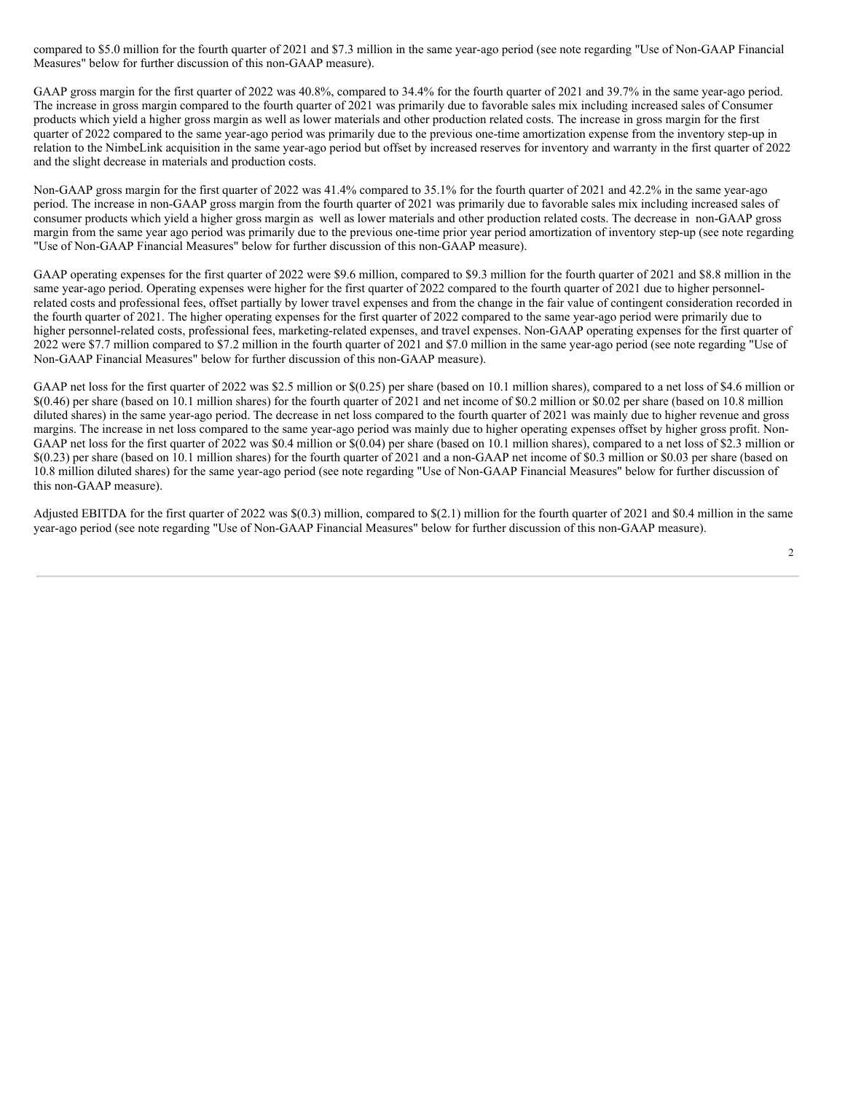compared to \$5.0 million for the fourth quarter of 2021 and \$7.3 million in the same year-ago period (see note regarding "Use of Non-GAAP Financial Measures" below for further discussion of this non-GAAP measure).

GAAP gross margin for the first quarter of 2022 was 40.8%, compared to 34.4% for the fourth quarter of 2021 and 39.7% in the same year-ago period. The increase in gross margin compared to the fourth quarter of 2021 was primarily due to favorable sales mix including increased sales of Consumer products which yield a higher gross margin as well as lower materials and other production related costs. The increase in gross margin for the first quarter of 2022 compared to the same year-ago period was primarily due to the previous one-time amortization expense from the inventory step-up in relation to the NimbeLink acquisition in the same year-ago period but offset by increased reserves for inventory and warranty in the first quarter of 2022 and the slight decrease in materials and production costs.

Non-GAAP gross margin for the first quarter of 2022 was 41.4% compared to 35.1% for the fourth quarter of 2021 and 42.2% in the same year-ago period. The increase in non-GAAP gross margin from the fourth quarter of 2021 was primarily due to favorable sales mix including increased sales of consumer products which yield a higher gross margin as well as lower materials and other production related costs. The decrease in non-GAAP gross margin from the same year ago period was primarily due to the previous one-time prior year period amortization of inventory step-up (see note regarding "Use of Non-GAAP Financial Measures" below for further discussion of this non-GAAP measure).

GAAP operating expenses for the first quarter of 2022 were \$9.6 million, compared to \$9.3 million for the fourth quarter of 2021 and \$8.8 million in the same year-ago period. Operating expenses were higher for the first quarter of 2022 compared to the fourth quarter of 2021 due to higher personnelrelated costs and professional fees, offset partially by lower travel expenses and from the change in the fair value of contingent consideration recorded in the fourth quarter of 2021. The higher operating expenses for the first quarter of 2022 compared to the same year-ago period were primarily due to higher personnel-related costs, professional fees, marketing-related expenses, and travel expenses. Non-GAAP operating expenses for the first quarter of 2022 were \$7.7 million compared to \$7.2 million in the fourth quarter of 2021 and \$7.0 million in the same year-ago period (see note regarding "Use of Non-GAAP Financial Measures" below for further discussion of this non-GAAP measure).

GAAP net loss for the first quarter of 2022 was \$2.5 million or \$(0.25) per share (based on 10.1 million shares), compared to a net loss of \$4.6 million or \$(0.46) per share (based on 10.1 million shares) for the fourth quarter of 2021 and net income of \$0.2 million or \$0.02 per share (based on 10.8 million diluted shares) in the same year-ago period. The decrease in net loss compared to the fourth quarter of 2021 was mainly due to higher revenue and gross margins. The increase in net loss compared to the same year-ago period was mainly due to higher operating expenses offset by higher gross profit. Non-GAAP net loss for the first quarter of 2022 was \$0.4 million or \$(0.04) per share (based on 10.1 million shares), compared to a net loss of \$2.3 million or \$(0.23) per share (based on 10.1 million shares) for the fourth quarter of 2021 and a non-GAAP net income of \$0.3 million or \$0.03 per share (based on 10.8 million diluted shares) for the same year-ago period (see note regarding "Use of Non-GAAP Financial Measures" below for further discussion of this non-GAAP measure).

Adjusted EBITDA for the first quarter of 2022 was \$(0.3) million, compared to \$(2.1) million for the fourth quarter of 2021 and \$0.4 million in the same year-ago period (see note regarding "Use of Non-GAAP Financial Measures" below for further discussion of this non-GAAP measure).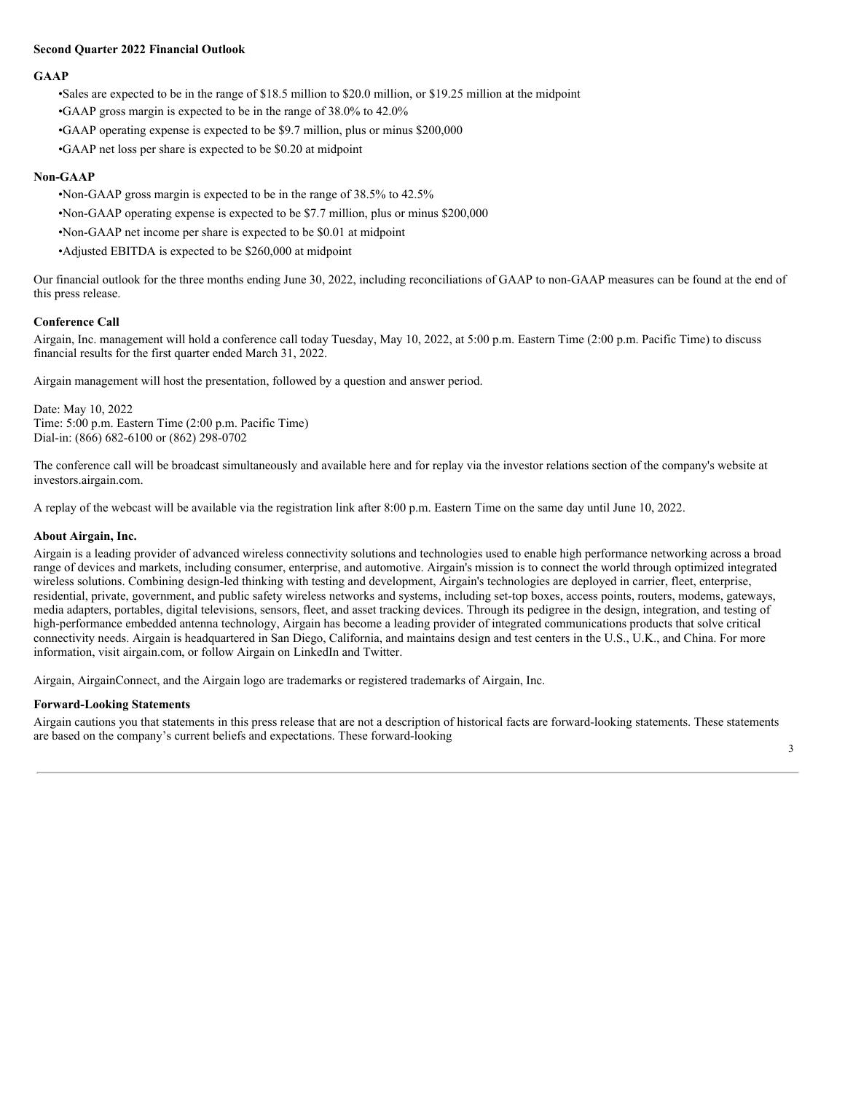#### **Second Quarter 2022 Financial Outlook**

#### **GAAP**

•Sales are expected to be in the range of \$18.5 million to \$20.0 million, or \$19.25 million at the midpoint

•GAAP gross margin is expected to be in the range of 38.0% to 42.0%

•GAAP operating expense is expected to be \$9.7 million, plus or minus \$200,000

•GAAP net loss per share is expected to be \$0.20 at midpoint

#### **Non-GAAP**

•Non-GAAP gross margin is expected to be in the range of 38.5% to 42.5%

•Non-GAAP operating expense is expected to be \$7.7 million, plus or minus \$200,000

•Non-GAAP net income per share is expected to be \$0.01 at midpoint

•Adjusted EBITDA is expected to be \$260,000 at midpoint

Our financial outlook for the three months ending June 30, 2022, including reconciliations of GAAP to non-GAAP measures can be found at the end of this press release.

#### **Conference Call**

Airgain, Inc. management will hold a conference call today Tuesday, May 10, 2022, at 5:00 p.m. Eastern Time (2:00 p.m. Pacific Time) to discuss financial results for the first quarter ended March 31, 2022.

Airgain management will host the presentation, followed by a question and answer period.

Date: May 10, 2022 Time: 5:00 p.m. Eastern Time (2:00 p.m. Pacific Time) Dial-in: (866) 682-6100 or (862) 298-0702

The conference call will be broadcast simultaneously and available here and for replay via the investor relations section of the company's website at investors.airgain.com.

A replay of the webcast will be available via the registration link after 8:00 p.m. Eastern Time on the same day until June 10, 2022.

#### **About Airgain, Inc.**

Airgain is a leading provider of advanced wireless connectivity solutions and technologies used to enable high performance networking across a broad range of devices and markets, including consumer, enterprise, and automotive. Airgain's mission is to connect the world through optimized integrated wireless solutions. Combining design-led thinking with testing and development, Airgain's technologies are deployed in carrier, fleet, enterprise, residential, private, government, and public safety wireless networks and systems, including set-top boxes, access points, routers, modems, gateways, media adapters, portables, digital televisions, sensors, fleet, and asset tracking devices. Through its pedigree in the design, integration, and testing of high-performance embedded antenna technology, Airgain has become a leading provider of integrated communications products that solve critical connectivity needs. Airgain is headquartered in San Diego, California, and maintains design and test centers in the U.S., U.K., and China. For more information, visit airgain.com, or follow Airgain on LinkedIn and Twitter.

Airgain, AirgainConnect, and the Airgain logo are trademarks or registered trademarks of Airgain, Inc.

#### **Forward-Looking Statements**

Airgain cautions you that statements in this press release that are not a description of historical facts are forward-looking statements. These statements are based on the company's current beliefs and expectations. These forward-looking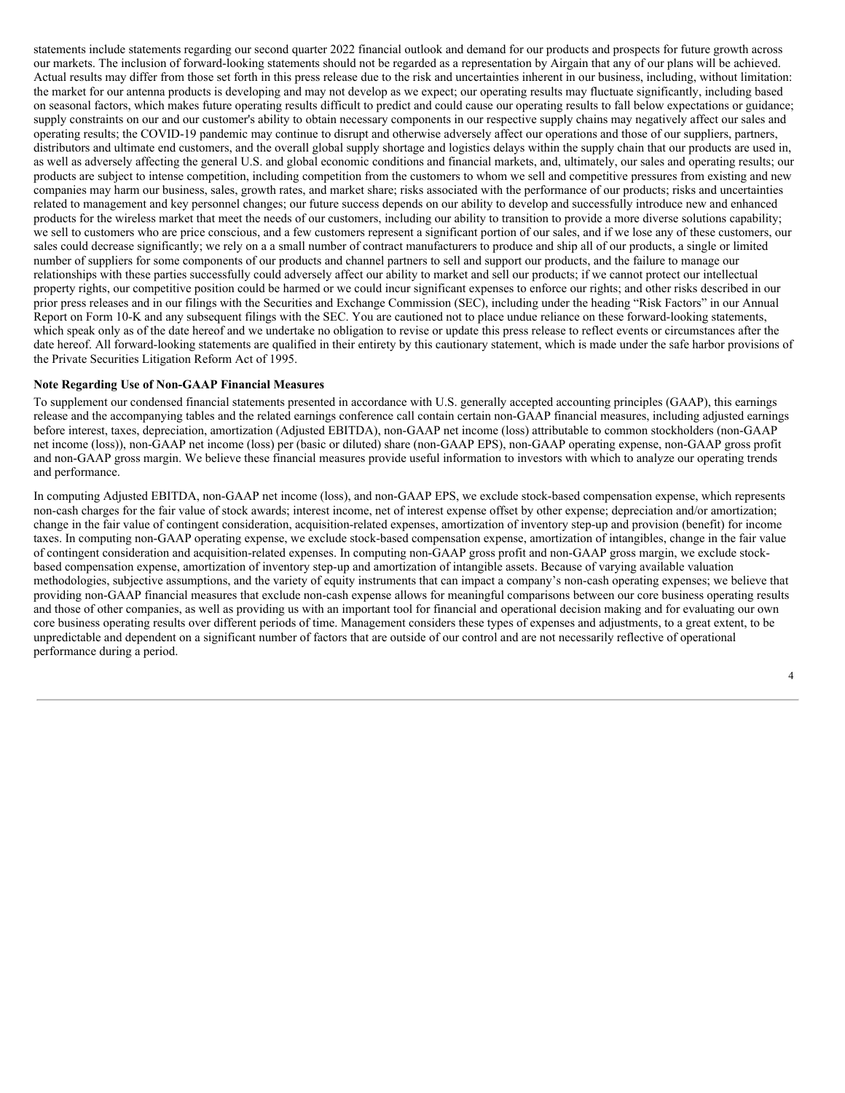statements include statements regarding our second quarter 2022 financial outlook and demand for our products and prospects for future growth across our markets. The inclusion of forward-looking statements should not be regarded as a representation by Airgain that any of our plans will be achieved. Actual results may differ from those set forth in this press release due to the risk and uncertainties inherent in our business, including, without limitation: the market for our antenna products is developing and may not develop as we expect; our operating results may fluctuate significantly, including based on seasonal factors, which makes future operating results difficult to predict and could cause our operating results to fall below expectations or guidance; supply constraints on our and our customer's ability to obtain necessary components in our respective supply chains may negatively affect our sales and operating results; the COVID-19 pandemic may continue to disrupt and otherwise adversely affect our operations and those of our suppliers, partners, distributors and ultimate end customers, and the overall global supply shortage and logistics delays within the supply chain that our products are used in, as well as adversely affecting the general U.S. and global economic conditions and financial markets, and, ultimately, our sales and operating results; our products are subject to intense competition, including competition from the customers to whom we sell and competitive pressures from existing and new companies may harm our business, sales, growth rates, and market share; risks associated with the performance of our products; risks and uncertainties related to management and key personnel changes; our future success depends on our ability to develop and successfully introduce new and enhanced products for the wireless market that meet the needs of our customers, including our ability to transition to provide a more diverse solutions capability; we sell to customers who are price conscious, and a few customers represent a significant portion of our sales, and if we lose any of these customers, our sales could decrease significantly; we rely on a a small number of contract manufacturers to produce and ship all of our products, a single or limited number of suppliers for some components of our products and channel partners to sell and support our products, and the failure to manage our relationships with these parties successfully could adversely affect our ability to market and sell our products; if we cannot protect our intellectual property rights, our competitive position could be harmed or we could incur significant expenses to enforce our rights; and other risks described in our prior press releases and in our filings with the Securities and Exchange Commission (SEC), including under the heading "Risk Factors" in our Annual Report on Form 10-K and any subsequent filings with the SEC. You are cautioned not to place undue reliance on these forward-looking statements, which speak only as of the date hereof and we undertake no obligation to revise or update this press release to reflect events or circumstances after the date hereof. All forward-looking statements are qualified in their entirety by this cautionary statement, which is made under the safe harbor provisions of the Private Securities Litigation Reform Act of 1995.

#### **Note Regarding Use of Non-GAAP Financial Measures**

To supplement our condensed financial statements presented in accordance with U.S. generally accepted accounting principles (GAAP), this earnings release and the accompanying tables and the related earnings conference call contain certain non-GAAP financial measures, including adjusted earnings before interest, taxes, depreciation, amortization (Adjusted EBITDA), non-GAAP net income (loss) attributable to common stockholders (non-GAAP net income (loss)), non-GAAP net income (loss) per (basic or diluted) share (non-GAAP EPS), non-GAAP operating expense, non-GAAP gross profit and non-GAAP gross margin. We believe these financial measures provide useful information to investors with which to analyze our operating trends and performance.

In computing Adjusted EBITDA, non-GAAP net income (loss), and non-GAAP EPS, we exclude stock-based compensation expense, which represents non-cash charges for the fair value of stock awards; interest income, net of interest expense offset by other expense; depreciation and/or amortization; change in the fair value of contingent consideration, acquisition-related expenses, amortization of inventory step-up and provision (benefit) for income taxes. In computing non-GAAP operating expense, we exclude stock-based compensation expense, amortization of intangibles, change in the fair value of contingent consideration and acquisition-related expenses. In computing non-GAAP gross profit and non-GAAP gross margin, we exclude stockbased compensation expense, amortization of inventory step-up and amortization of intangible assets. Because of varying available valuation methodologies, subjective assumptions, and the variety of equity instruments that can impact a company's non-cash operating expenses; we believe that providing non-GAAP financial measures that exclude non-cash expense allows for meaningful comparisons between our core business operating results and those of other companies, as well as providing us with an important tool for financial and operational decision making and for evaluating our own core business operating results over different periods of time. Management considers these types of expenses and adjustments, to a great extent, to be unpredictable and dependent on a significant number of factors that are outside of our control and are not necessarily reflective of operational performance during a period.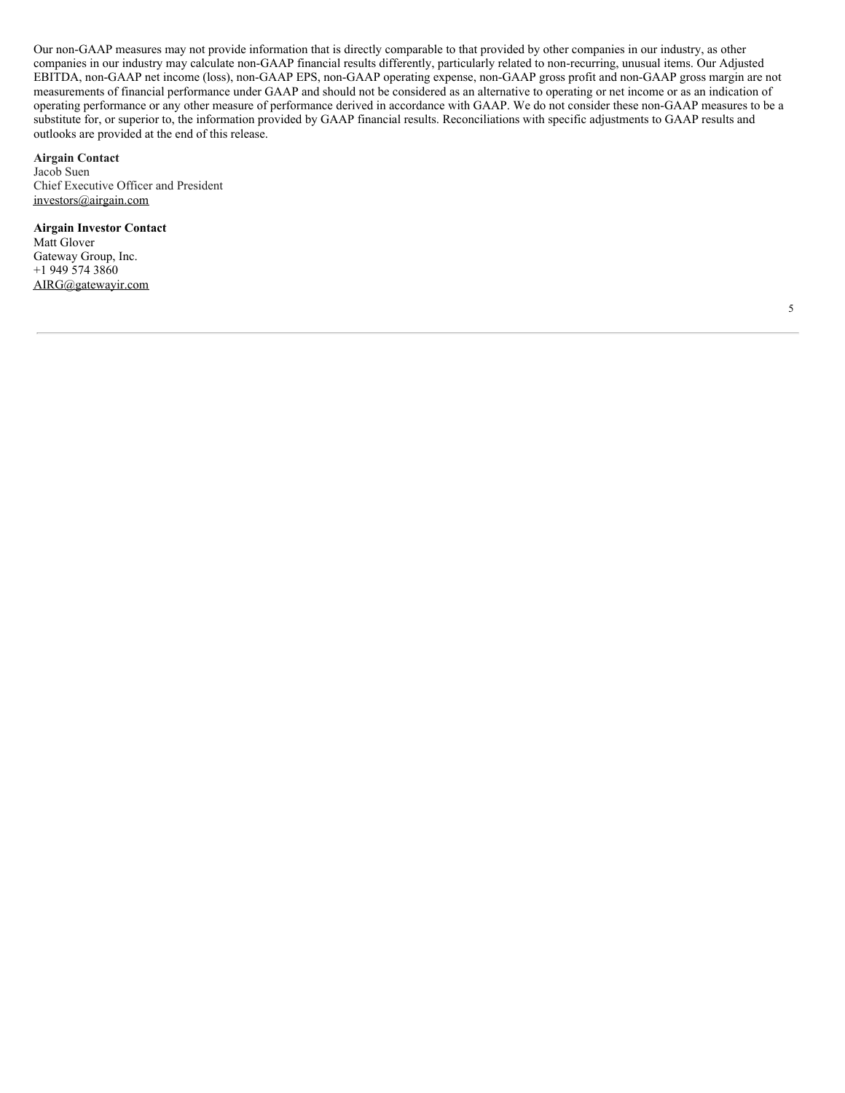Our non-GAAP measures may not provide information that is directly comparable to that provided by other companies in our industry, as other companies in our industry may calculate non-GAAP financial results differently, particularly related to non-recurring, unusual items. Our Adjusted EBITDA, non-GAAP net income (loss), non-GAAP EPS, non-GAAP operating expense, non-GAAP gross profit and non-GAAP gross margin are not measurements of financial performance under GAAP and should not be considered as an alternative to operating or net income or as an indication of operating performance or any other measure of performance derived in accordance with GAAP. We do not consider these non-GAAP measures to be a substitute for, or superior to, the information provided by GAAP financial results. Reconciliations with specific adjustments to GAAP results and outlooks are provided at the end of this release.

**Airgain Contact** Jacob Suen Chief Executive Officer and President investors@airgain.com

**Airgain Investor Contact** Matt Glover Gateway Group, Inc. +1 949 574 3860 AIRG@gatewayir.com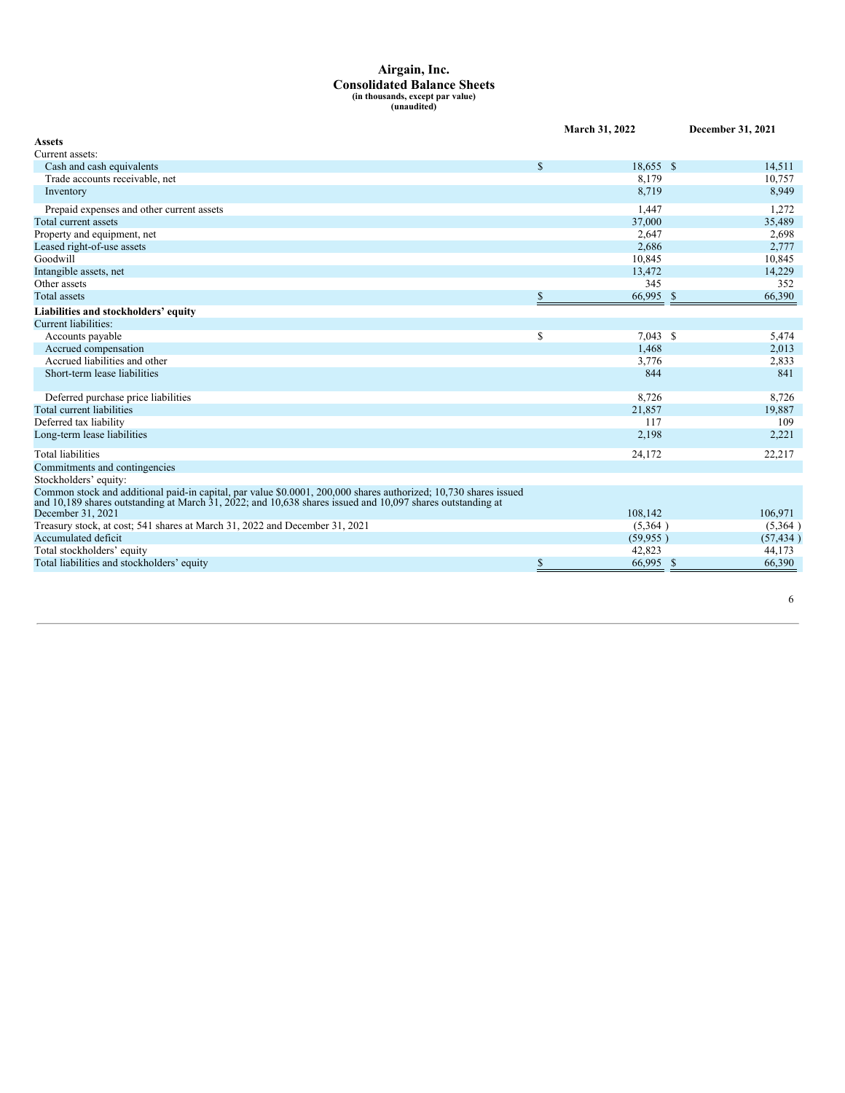# **Airgain, Inc. Consolidated Balance Sheets (in thousands, except par value) (unaudited)**

|                                                                                                                                                                                                                                  |              | March 31, 2022 |    | December 31, 2021 |
|----------------------------------------------------------------------------------------------------------------------------------------------------------------------------------------------------------------------------------|--------------|----------------|----|-------------------|
| <b>Assets</b>                                                                                                                                                                                                                    |              |                |    |                   |
| Current assets:                                                                                                                                                                                                                  |              |                |    |                   |
| Cash and cash equivalents                                                                                                                                                                                                        | $\mathbf S$  | 18,655 \$      |    | 14,511            |
| Trade accounts receivable, net                                                                                                                                                                                                   |              | 8.179          |    | 10,757            |
| Inventory                                                                                                                                                                                                                        |              | 8,719          |    | 8,949             |
| Prepaid expenses and other current assets                                                                                                                                                                                        |              | 1,447          |    | 1,272             |
| Total current assets                                                                                                                                                                                                             |              | 37,000         |    | 35,489            |
| Property and equipment, net                                                                                                                                                                                                      |              | 2,647          |    | 2,698             |
| Leased right-of-use assets                                                                                                                                                                                                       |              | 2,686          |    | 2,777             |
| Goodwill                                                                                                                                                                                                                         |              | 10,845         |    | 10,845            |
| Intangible assets, net                                                                                                                                                                                                           |              | 13,472         |    | 14,229            |
| Other assets                                                                                                                                                                                                                     |              | 345            |    | 352               |
| <b>Total assets</b>                                                                                                                                                                                                              | \$           | 66,995 \$      |    | 66,390            |
| Liabilities and stockholders' equity                                                                                                                                                                                             |              |                |    |                   |
| Current liabilities:                                                                                                                                                                                                             |              |                |    |                   |
| Accounts payable                                                                                                                                                                                                                 | \$           | $7,043$ \$     |    | 5,474             |
| Accrued compensation                                                                                                                                                                                                             |              | 1,468          |    | 2,013             |
| Accrued liabilities and other                                                                                                                                                                                                    |              | 3,776          |    | 2,833             |
| Short-term lease liabilities                                                                                                                                                                                                     |              | 844            |    | 841               |
| Deferred purchase price liabilities                                                                                                                                                                                              |              | 8,726          |    | 8,726             |
| Total current liabilities                                                                                                                                                                                                        |              | 21,857         |    | 19,887            |
| Deferred tax liability                                                                                                                                                                                                           |              | 117            |    | 109               |
| Long-term lease liabilities                                                                                                                                                                                                      |              | 2,198          |    | 2,221             |
| <b>Total liabilities</b>                                                                                                                                                                                                         |              | 24,172         |    | 22,217            |
| Commitments and contingencies                                                                                                                                                                                                    |              |                |    |                   |
| Stockholders' equity:                                                                                                                                                                                                            |              |                |    |                   |
| Common stock and additional paid-in capital, par value \$0.0001, 200,000 shares authorized; 10,730 shares issued<br>and 10,189 shares outstanding at March $31,2022$ ; and 10,638 shares issued and 10,097 shares outstanding at |              |                |    |                   |
| December 31, 2021                                                                                                                                                                                                                |              | 108,142        |    | 106,971           |
| Treasury stock, at cost; 541 shares at March 31, 2022 and December 31, 2021                                                                                                                                                      |              | (5,364)        |    | (5,364)           |
| Accumulated deficit                                                                                                                                                                                                              |              | (59, 955)      |    | (57, 434)         |
| Total stockholders' equity                                                                                                                                                                                                       |              | 42,823         |    | 44,173            |
| Total liabilities and stockholders' equity                                                                                                                                                                                       | $\mathbb{S}$ | 66,995         | -S | 66,390            |
|                                                                                                                                                                                                                                  |              |                |    |                   |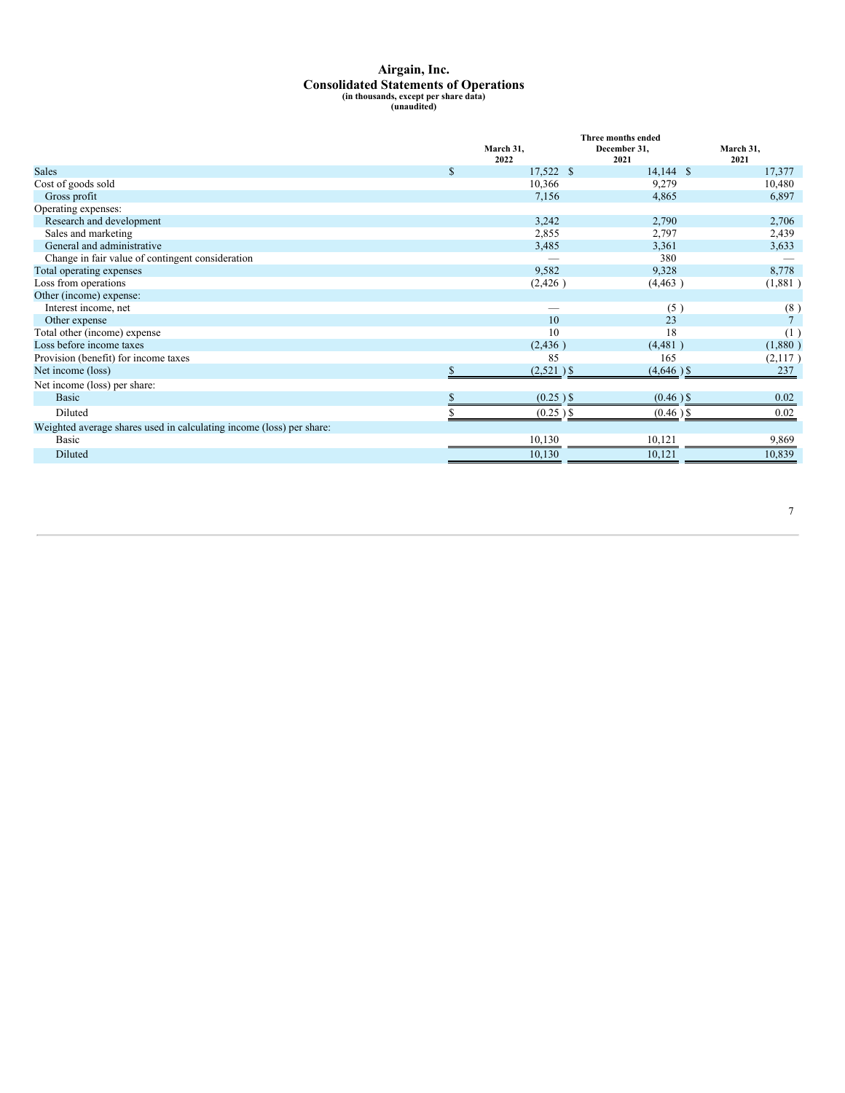## <span id="page-9-0"></span>**Airgain, Inc. Consolidated Statements of Operations (in thousands, except per share data) (unaudited)**

|                                                                      |              |                   | Three months ended   |                   |
|----------------------------------------------------------------------|--------------|-------------------|----------------------|-------------------|
|                                                                      |              | March 31.<br>2022 | December 31.<br>2021 | March 31,<br>2021 |
| <b>Sales</b>                                                         | <sup>S</sup> | 17,522 \$         | $14,144$ \$          | 17,377            |
| Cost of goods sold                                                   |              | 10,366            | 9,279                | 10,480            |
| Gross profit                                                         |              | 7,156             | 4,865                | 6,897             |
| Operating expenses:                                                  |              |                   |                      |                   |
| Research and development                                             |              | 3,242             | 2,790                | 2,706             |
| Sales and marketing                                                  |              | 2,855             | 2,797                | 2,439             |
| General and administrative                                           |              | 3,485             | 3,361                | 3,633             |
| Change in fair value of contingent consideration                     |              |                   | 380                  |                   |
| Total operating expenses                                             |              | 9,582             | 9,328                | 8,778             |
| Loss from operations                                                 |              | (2, 426)          | (4, 463)             | (1,881)           |
| Other (income) expense:                                              |              |                   |                      |                   |
| Interest income, net                                                 |              |                   | (5)                  | (8)               |
| Other expense                                                        |              | 10                | 23                   | $\overline{7}$    |
| Total other (income) expense                                         |              | 10                | 18                   | (1)               |
| Loss before income taxes                                             |              | (2, 436)          | (4,481)              | (1,880)           |
| Provision (benefit) for income taxes                                 |              | 85                | 165                  | (2,117)           |
| Net income (loss)                                                    |              | $(2,521)$ \$      | $(4,646)$ \$         | 237               |
| Net income (loss) per share:                                         |              |                   |                      |                   |
| Basic                                                                |              | $(0.25)$ \$       | $(0.46)$ \$          | 0.02              |
| Diluted                                                              |              | $(0.25)$ \$       | $(0.46)$ \$          | 0.02              |
| Weighted average shares used in calculating income (loss) per share: |              |                   |                      |                   |
| Basic                                                                |              | 10,130            | 10,121               | 9,869             |
| Diluted                                                              |              | 10,130            | 10,121               | 10,839            |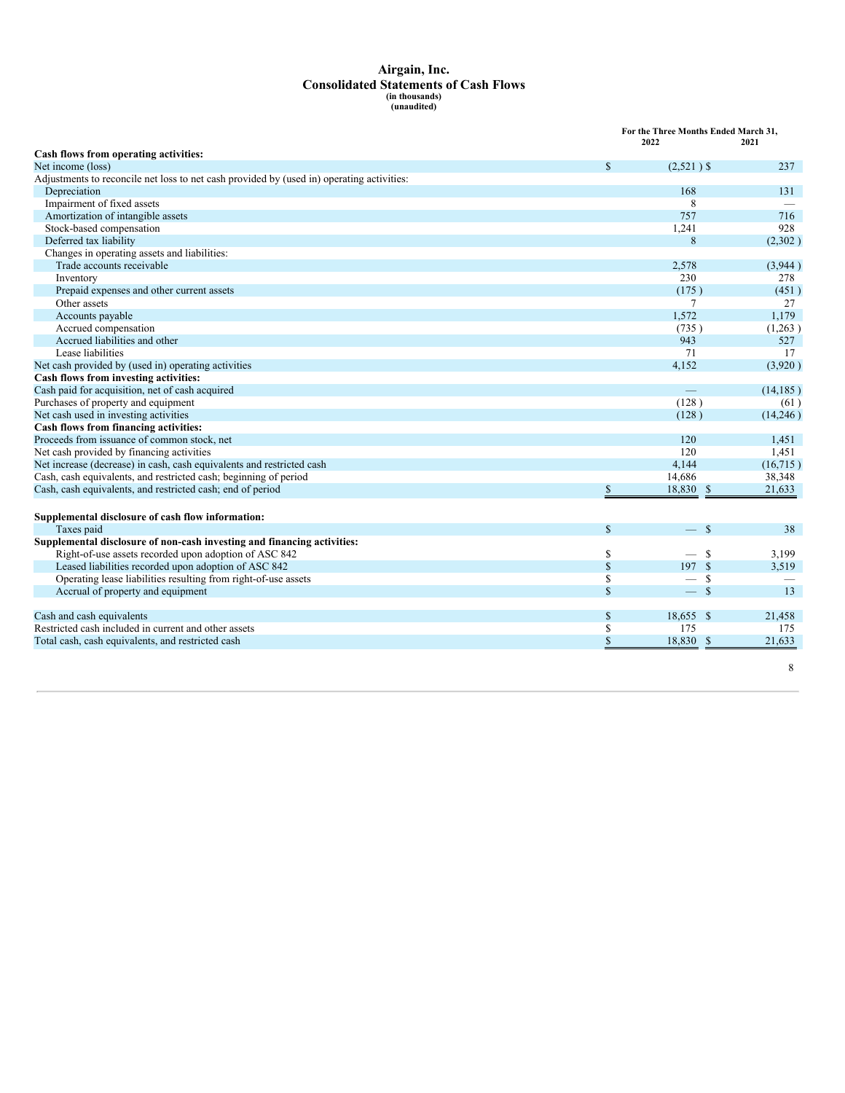# **Airgain, Inc. Consolidated Statements of Cash Flows (in thousands) (unaudited)**

|                                                                                           | For the Three Months Ended March 31,<br>2022 | 2021      |  |
|-------------------------------------------------------------------------------------------|----------------------------------------------|-----------|--|
| Cash flows from operating activities:                                                     |                                              |           |  |
| Net income (loss)<br>\$                                                                   | $(2,521)$ \$                                 | 237       |  |
| Adjustments to reconcile net loss to net cash provided by (used in) operating activities: |                                              |           |  |
| Depreciation                                                                              | 168                                          | 131       |  |
| Impairment of fixed assets                                                                | 8                                            |           |  |
| Amortization of intangible assets                                                         | 757                                          | 716       |  |
| Stock-based compensation                                                                  | 1,241                                        | 928       |  |
| Deferred tax liability                                                                    | 8                                            | (2,302)   |  |
| Changes in operating assets and liabilities:                                              |                                              |           |  |
| Trade accounts receivable                                                                 | 2,578                                        | (3,944)   |  |
| Inventory                                                                                 | 230                                          | 278       |  |
| Prepaid expenses and other current assets                                                 | (175)                                        | (451)     |  |
| Other assets                                                                              | 7                                            | 27        |  |
| Accounts payable                                                                          | 1.572                                        | 1,179     |  |
| Accrued compensation                                                                      | (735)                                        | (1,263)   |  |
| Accrued liabilities and other                                                             | 943                                          | 527       |  |
| Lease liabilities                                                                         | 71                                           | 17        |  |
| Net cash provided by (used in) operating activities                                       | 4.152                                        | (3,920)   |  |
| Cash flows from investing activities:                                                     |                                              |           |  |
| Cash paid for acquisition, net of cash acquired                                           |                                              | (14, 185) |  |
| Purchases of property and equipment                                                       | (128)                                        | (61)      |  |
| Net cash used in investing activities                                                     | (128)                                        | (14,246)  |  |
| Cash flows from financing activities:                                                     |                                              |           |  |
| Proceeds from issuance of common stock, net                                               | 120                                          | 1,451     |  |
| Net cash provided by financing activities                                                 | 120                                          | 1.451     |  |
| Net increase (decrease) in cash, cash equivalents and restricted cash                     | 4.144                                        | (16, 715) |  |
| Cash, cash equivalents, and restricted cash; beginning of period                          | 14,686                                       | 38,348    |  |
| Cash, cash equivalents, and restricted cash; end of period<br>\$                          | 18,830 \$                                    | 21,633    |  |
| Supplemental disclosure of cash flow information:                                         |                                              |           |  |
| $\mathbb{S}$<br>Taxes paid                                                                | — \$                                         | 38        |  |
| Supplemental disclosure of non-cash investing and financing activities:                   |                                              |           |  |
| Right-of-use assets recorded upon adoption of ASC 842<br>\$                               | -S                                           | 3,199     |  |
| \$<br>Leased liabilities recorded upon adoption of ASC 842                                | 197S                                         | 3,519     |  |
| Operating lease liabilities resulting from right-of-use assets<br>\$                      | - S                                          |           |  |
| \$<br>Accrual of property and equipment                                                   | $\mathbf{s}$                                 | 13        |  |
| Cash and cash equivalents<br>\$                                                           | 18,655 \$                                    | 21,458    |  |
| Restricted cash included in current and other assets<br>\$                                | 175                                          | 175       |  |
| Total cash, cash equivalents, and restricted cash<br>\$                                   | 18,830 \$                                    | 21,633    |  |

8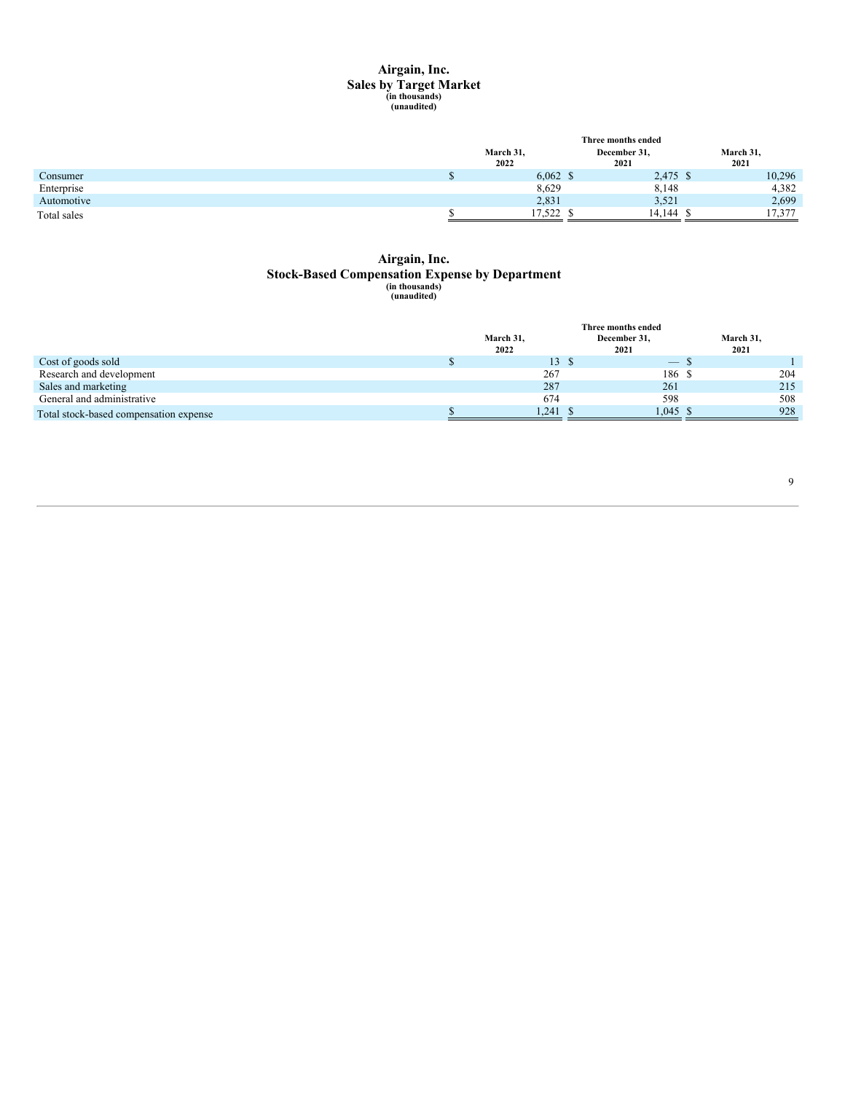# **Airgain, Inc. Sales by Target Market (in thousands) (unaudited)**

|             | Three months ended |                      |                   |
|-------------|--------------------|----------------------|-------------------|
|             | March 31,<br>2022  | December 31,<br>2021 | March 31,<br>2021 |
| Consumer    | $6,062$ \$         | 2,475 \$             | 10,296            |
| Enterprise  | 8,629              | 8,148                | 4,382             |
| Automotive  | 2,831              | 3,521                | 2,699             |
| Total sales | 17.522             | 14,144               | 17,377            |

# **Airgain, Inc. Stock-Based Compensation Expense by Department (in thousands) (unaudited)**

|                                        |           | Three months ended |            |           |
|----------------------------------------|-----------|--------------------|------------|-----------|
|                                        | March 31, | December 31,       |            | March 31, |
|                                        | 2022      | 2021               |            | 2021      |
| Cost of goods sold                     | 13 S      |                    |            |           |
| Research and development               | 267       |                    | 186 \$     | 204       |
| Sales and marketing                    | 287       |                    | 261        | 215       |
| General and administrative             | 674       |                    | 598        | 508       |
| Total stock-based compensation expense | 1.241     |                    | $1.045$ \$ | 928       |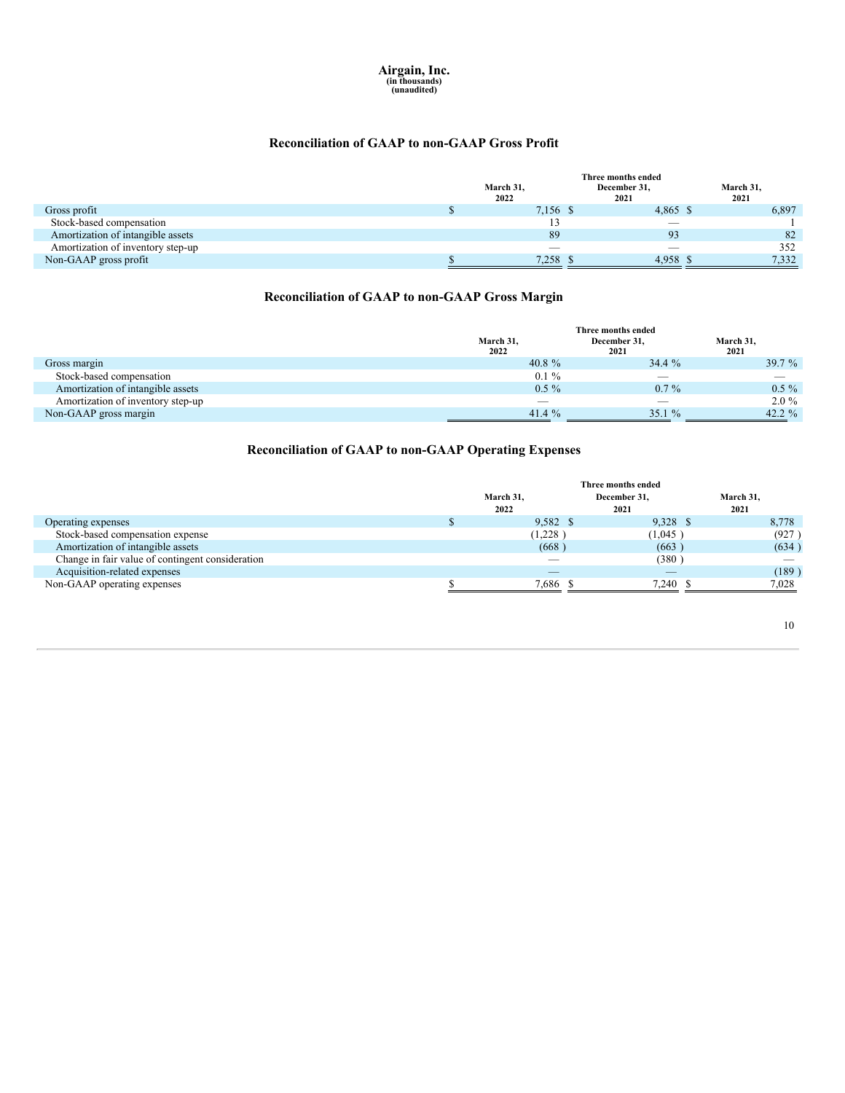### **Reconciliation of GAAP to non-GAAP Gross Profit**

|                                   |                   | Three months ended       |                   |
|-----------------------------------|-------------------|--------------------------|-------------------|
|                                   | March 31,<br>2022 | December 31,<br>2021     | March 31,<br>2021 |
| Gross profit                      | 7,156 \$          | 4,865 \$                 | 6,897             |
| Stock-based compensation          |                   | $\overline{\phantom{a}}$ |                   |
| Amortization of intangible assets | 89                | 93                       | 82                |
| Amortization of inventory step-up | $\sim$            |                          | 352               |
| Non-GAAP gross profit             | 7,258             | 4,958                    | 7,332             |

### **Reconciliation of GAAP to non-GAAP Gross Margin**

|                                   |           | Three months ended       |           |
|-----------------------------------|-----------|--------------------------|-----------|
|                                   | March 31. | December 31,             | March 31, |
|                                   | 2022      | 2021                     | 2021      |
| Gross margin                      | 40.8 $%$  | 34.4%                    | 39.7 $%$  |
| Stock-based compensation          | $0.1\%$   | $\overline{\phantom{a}}$ |           |
| Amortization of intangible assets | $0.5\%$   | $0.7\%$                  | $0.5\%$   |
| Amortization of inventory step-up | --        |                          | $2.0\%$   |
| Non-GAAP gross margin             | 41.4 $\%$ | 35.1%                    | 42.2 $\%$ |

### **Reconciliation of GAAP to non-GAAP Operating Expenses**

|                                                  |                          | Three months ended |                          |
|--------------------------------------------------|--------------------------|--------------------|--------------------------|
|                                                  | March 31,                | December 31.       | March 31.                |
|                                                  | 2022                     | 2021               | 2021                     |
| Operating expenses                               | 9,582 \$                 | 9,328 \$           | 8,778                    |
| Stock-based compensation expense                 | (1,228)                  | (1,045)            | (927)                    |
| Amortization of intangible assets                | (668)                    | (663)              | (634)                    |
| Change in fair value of contingent consideration | $\overline{\phantom{a}}$ | (380)              | $\overline{\phantom{a}}$ |
| Acquisition-related expenses                     | __                       | $-$                | (189)                    |
| Non-GAAP operating expenses                      | 7,686 \$                 | 7.240 \$           | 7.028                    |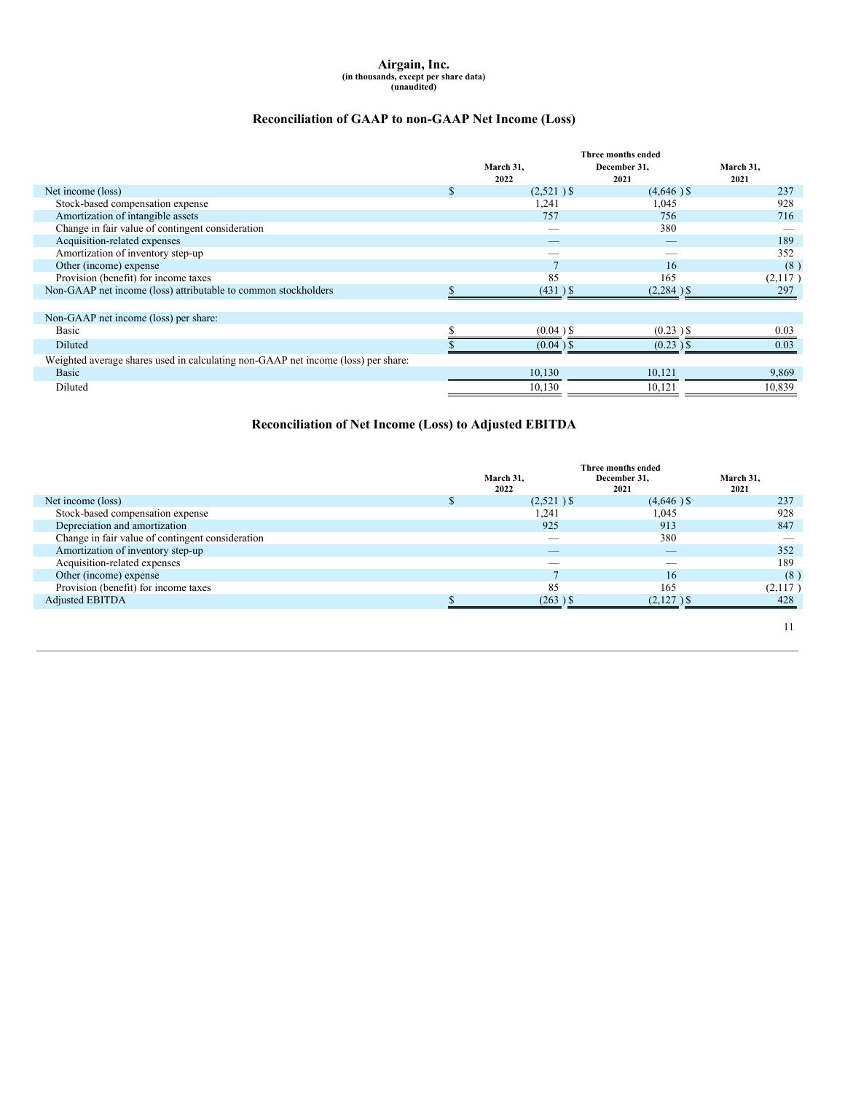# **Airgain, Inc. (in thousands, except per share data) (unaudited)**

### **Reconciliation of GAAP to non-GAAP Net Income (Loss)**

|                                                                                   |   |              | Three months ended       |           |
|-----------------------------------------------------------------------------------|---|--------------|--------------------------|-----------|
|                                                                                   |   | March 31,    | December 31,             | March 31, |
|                                                                                   |   | 2022         | 2021                     | 2021      |
| Net income (loss)                                                                 | S | $(2,521)$ \$ | $(4,646)$ \$             | 237       |
| Stock-based compensation expense                                                  |   | 1,241        | 1,045                    | 928       |
| Amortization of intangible assets                                                 |   | 757          | 756                      | 716       |
| Change in fair value of contingent consideration                                  |   | _            | 380                      |           |
| Acquisition-related expenses                                                      |   | _            | $\overline{\phantom{a}}$ | 189       |
| Amortization of inventory step-up                                                 |   | _            |                          | 352       |
| Other (income) expense                                                            |   |              | 16                       | (8)       |
| Provision (benefit) for income taxes                                              |   | 85           | 165                      | (2,117)   |
| Non-GAAP net income (loss) attributable to common stockholders                    |   | $(431)$ \$   | $(2,284)$ \$             | 297       |
|                                                                                   |   |              |                          |           |
| Non-GAAP net income (loss) per share:                                             |   |              |                          |           |
| Basic                                                                             |   | $(0.04)$ \$  | $(0.23)$ \$              | 0.03      |
| Diluted                                                                           |   | $(0.04)$ \$  | $(0.23)$ \$              | 0.03      |
| Weighted average shares used in calculating non-GAAP net income (loss) per share: |   |              |                          |           |
| <b>Basic</b>                                                                      |   | 10,130       | 10,121                   | 9,869     |
| Diluted                                                                           |   | 10,130       | 10,121                   | 10,839    |

### **Reconciliation of Net Income (Loss) to Adjusted EBITDA**

|                                                  |                          | Three months ended       |           |
|--------------------------------------------------|--------------------------|--------------------------|-----------|
|                                                  | March 31.                | December 31,             | March 31, |
|                                                  | 2022                     | 2021                     | 2021      |
| Net income (loss)                                | $(2,521)$ \$             | $(4,646)$ \$             | 237       |
| Stock-based compensation expense                 | 1,241                    | 1,045                    | 928       |
| Depreciation and amortization                    | 925                      | 913                      | 847       |
| Change in fair value of contingent consideration | $\overline{\phantom{a}}$ | 380                      |           |
| Amortization of inventory step-up                | $\overline{\phantom{a}}$ | $\overline{\phantom{a}}$ | 352       |
| Acquisition-related expenses                     | --                       | _                        | 189       |
| Other (income) expense                           |                          | 16                       | (8)       |
| Provision (benefit) for income taxes             | 85                       | 165                      | (2,117)   |
| <b>Adjusted EBITDA</b>                           | $(263)$ \$               | $(2,127)$ \$             | 428       |